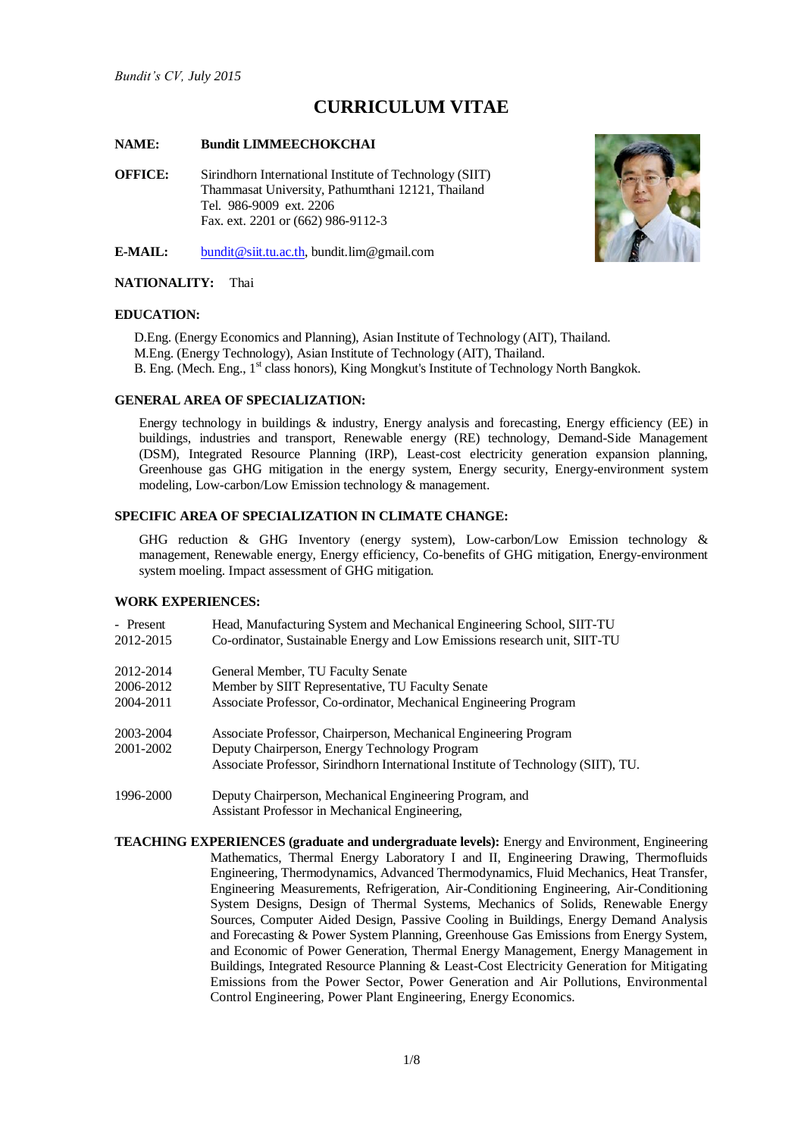# **CURRICULUM VITAE**

#### **NAME: Bundit LIMMEECHOKCHAI**

**OFFICE:** Sirindhorn International Institute of Technology (SIIT) Thammasat University, Pathumthani 12121, Thailand Tel. 986-9009 ext. 2206 Fax. ext. 2201 or (662) 986-9112-3

**E-MAIL:** [bundit@siit.tu.ac.th,](mailto:bundit@siit.tu.ac.th) bundit.lim@gmail.com

#### **NATIONALITY:** Thai

#### **EDUCATION:**

 D.Eng. (Energy Economics and Planning), Asian Institute of Technology (AIT), Thailand. M.Eng. (Energy Technology), Asian Institute of Technology (AIT), Thailand. B. Eng. (Mech. Eng., 1<sup>st</sup> class honors), King Mongkut's Institute of Technology North Bangkok.

## **GENERAL AREA OF SPECIALIZATION:**

Energy technology in buildings & industry, Energy analysis and forecasting, Energy efficiency (EE) in buildings, industries and transport, Renewable energy (RE) technology, Demand-Side Management (DSM), Integrated Resource Planning (IRP), Least-cost electricity generation expansion planning, Greenhouse gas GHG mitigation in the energy system, Energy security, Energy-environment system modeling, Low-carbon/Low Emission technology & management.

## **SPECIFIC AREA OF SPECIALIZATION IN CLIMATE CHANGE:**

GHG reduction & GHG Inventory (energy system), Low-carbon/Low Emission technology & management, Renewable energy, Energy efficiency, Co-benefits of GHG mitigation, Energy-environment system moeling. Impact assessment of GHG mitigation.

## **WORK EXPERIENCES:**

| - Present | Head, Manufacturing System and Mechanical Engineering School, SIIT-TU             |
|-----------|-----------------------------------------------------------------------------------|
| 2012-2015 | Co-ordinator, Sustainable Energy and Low Emissions research unit, SIIT-TU         |
| 2012-2014 | General Member, TU Faculty Senate                                                 |
| 2006-2012 | Member by SIIT Representative, TU Faculty Senate                                  |
| 2004-2011 | Associate Professor, Co-ordinator, Mechanical Engineering Program                 |
| 2003-2004 | Associate Professor, Chairperson, Mechanical Engineering Program                  |
| 2001-2002 | Deputy Chairperson, Energy Technology Program                                     |
|           | Associate Professor, Sirindhorn International Institute of Technology (SIIT), TU. |
| 1996-2000 | Deputy Chairperson, Mechanical Engineering Program, and                           |
|           | Assistant Professor in Mechanical Engineering,                                    |

**TEACHING EXPERIENCES (graduate and undergraduate levels):** Energy and Environment, Engineering Mathematics, Thermal Energy Laboratory I and II, Engineering Drawing, Thermofluids Engineering, Thermodynamics, Advanced Thermodynamics, Fluid Mechanics, Heat Transfer, Engineering Measurements, Refrigeration, Air-Conditioning Engineering, Air-Conditioning System Designs, Design of Thermal Systems, Mechanics of Solids, Renewable Energy Sources, Computer Aided Design, Passive Cooling in Buildings, Energy Demand Analysis and Forecasting & Power System Planning, Greenhouse Gas Emissions from Energy System, and Economic of Power Generation, Thermal Energy Management, Energy Management in Buildings, Integrated Resource Planning & Least-Cost Electricity Generation for Mitigating Emissions from the Power Sector, Power Generation and Air Pollutions, Environmental Control Engineering, Power Plant Engineering, Energy Economics.

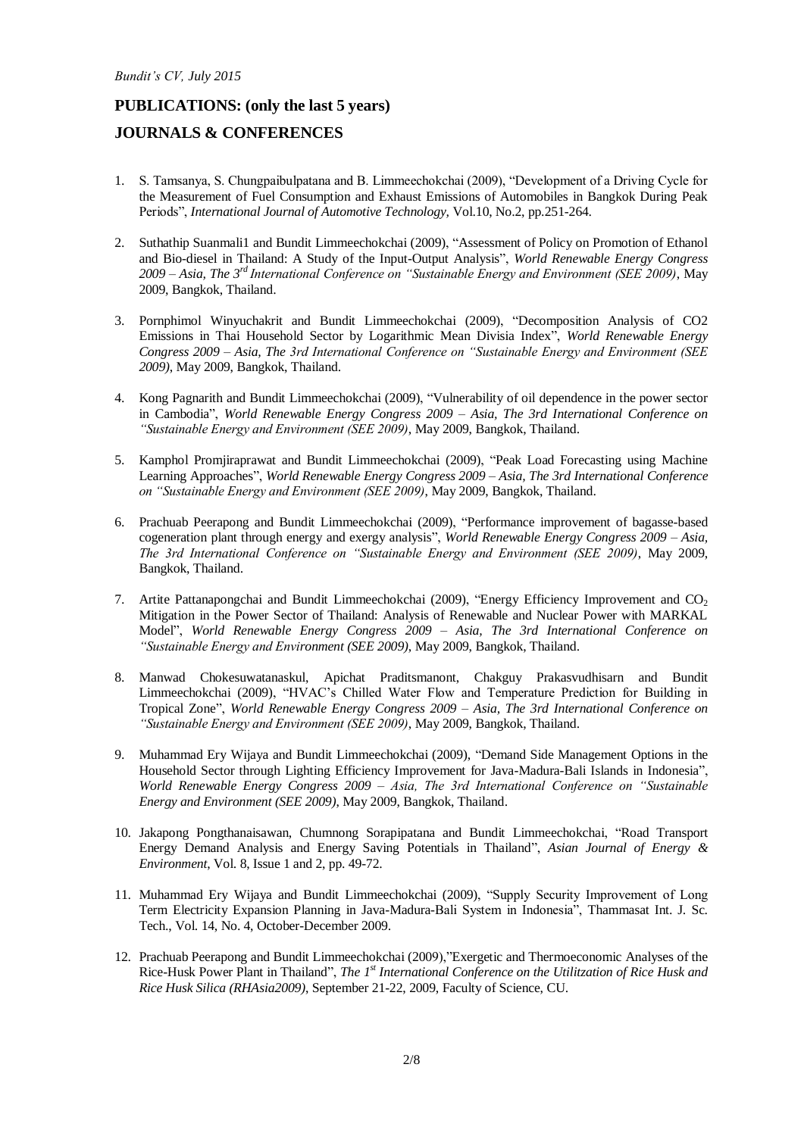# **PUBLICATIONS: (only the last 5 years)**

# **JOURNALS & CONFERENCES**

- 1. S. Tamsanya, S. Chungpaibulpatana and B. Limmeechokchai (2009), "Development of a Driving Cycle for the Measurement of Fuel Consumption and Exhaust Emissions of Automobiles in Bangkok During Peak Periods", *International Journal of Automotive Technology,* Vol.10, No.2, pp.251-264.
- 2. Suthathip Suanmali1 and Bundit Limmeechokchai (2009), "Assessment of Policy on Promotion of Ethanol and Bio-diesel in Thailand: A Study of the Input-Output Analysis", *World Renewable Energy Congress 2009 – Asia, The 3rd International Conference on "Sustainable Energy and Environment (SEE 2009)*, May 2009, Bangkok, Thailand.
- 3. Pornphimol Winyuchakrit and Bundit Limmeechokchai (2009), "Decomposition Analysis of CO2 Emissions in Thai Household Sector by Logarithmic Mean Divisia Index", *World Renewable Energy Congress 2009 – Asia, The 3rd International Conference on "Sustainable Energy and Environment (SEE 2009)*, May 2009, Bangkok, Thailand.
- 4. Kong Pagnarith and Bundit Limmeechokchai (2009), "Vulnerability of oil dependence in the power sector in Cambodia", *World Renewable Energy Congress 2009 – Asia, The 3rd International Conference on "Sustainable Energy and Environment (SEE 2009)*, May 2009, Bangkok, Thailand.
- 5. Kamphol Promjiraprawat and Bundit Limmeechokchai (2009), "Peak Load Forecasting using Machine Learning Approaches", *World Renewable Energy Congress 2009 – Asia, The 3rd International Conference on "Sustainable Energy and Environment (SEE 2009)*, May 2009, Bangkok, Thailand.
- 6. Prachuab Peerapong and Bundit Limmeechokchai (2009), "Performance improvement of bagasse-based cogeneration plant through energy and exergy analysis", *World Renewable Energy Congress 2009 – Asia, The 3rd International Conference on "Sustainable Energy and Environment (SEE 2009)*, May 2009, Bangkok, Thailand.
- 7. Artite Pattanapongchai and Bundit Limmeechokchai (2009), "Energy Efficiency Improvement and CO<sub>2</sub> Mitigation in the Power Sector of Thailand: Analysis of Renewable and Nuclear Power with MARKAL Model", *World Renewable Energy Congress 2009 – Asia, The 3rd International Conference on "Sustainable Energy and Environment (SEE 2009)*, May 2009, Bangkok, Thailand.
- 8. Manwad Chokesuwatanaskul, Apichat Praditsmanont, Chakguy Prakasvudhisarn and Bundit Limmeechokchai (2009), "HVAC's Chilled Water Flow and Temperature Prediction for Building in Tropical Zone", *World Renewable Energy Congress 2009 – Asia, The 3rd International Conference on "Sustainable Energy and Environment (SEE 2009)*, May 2009, Bangkok, Thailand.
- 9. Muhammad Ery Wijaya and Bundit Limmeechokchai (2009), "Demand Side Management Options in the Household Sector through Lighting Efficiency Improvement for Java-Madura-Bali Islands in Indonesia", *World Renewable Energy Congress 2009 – Asia, The 3rd International Conference on "Sustainable Energy and Environment (SEE 2009)*, May 2009, Bangkok, Thailand.
- 10. Jakapong Pongthanaisawan, Chumnong Sorapipatana and Bundit Limmeechokchai, "Road Transport Energy Demand Analysis and Energy Saving Potentials in Thailand", *Asian Journal of Energy & Environment*, Vol. 8, Issue 1 and 2, pp. 49-72.
- 11. Muhammad Ery Wijaya and Bundit Limmeechokchai (2009), "Supply Security Improvement of Long Term Electricity Expansion Planning in Java-Madura-Bali System in Indonesia", Thammasat Int. J. Sc. Tech., Vol. 14, No. 4, October-December 2009.
- 12. Prachuab Peerapong and Bundit Limmeechokchai (2009),"Exergetic and Thermoeconomic Analyses of the Rice-Husk Power Plant in Thailand", *The 1st International Conference on the Utilitzation of Rice Husk and Rice Husk Silica (RHAsia2009)*, September 21-22, 2009, Faculty of Science, CU.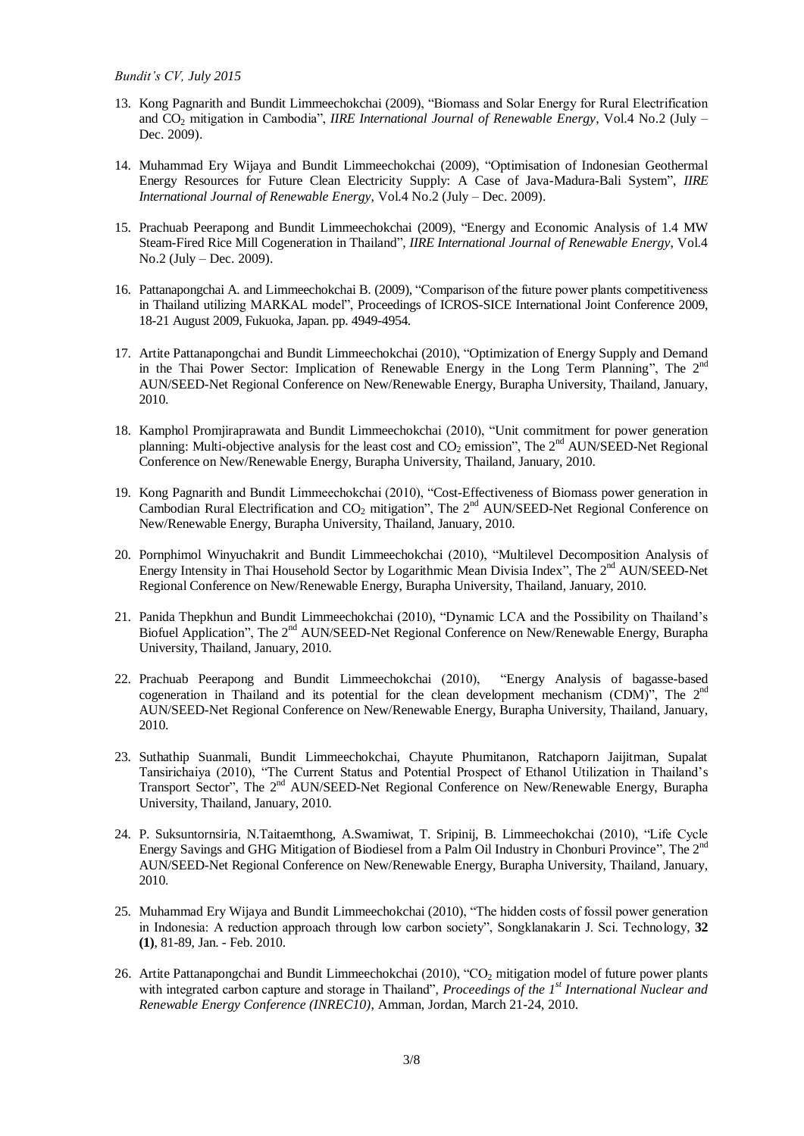- 13. Kong Pagnarith and Bundit Limmeechokchai (2009), "Biomass and Solar Energy for Rural Electrification and CO<sup>2</sup> mitigation in Cambodia", *IIRE International Journal of Renewable Energy*, Vol.4 No.2 (July – Dec. 2009).
- 14. Muhammad Ery Wijaya and Bundit Limmeechokchai (2009), "Optimisation of Indonesian Geothermal Energy Resources for Future Clean Electricity Supply: A Case of Java-Madura-Bali System", *IIRE International Journal of Renewable Energy*, Vol.4 No.2 (July – Dec. 2009).
- 15. Prachuab Peerapong and Bundit Limmeechokchai (2009), "Energy and Economic Analysis of 1.4 MW Steam-Fired Rice Mill Cogeneration in Thailand", *IIRE International Journal of Renewable Energy*, Vol.4 No.2 (July – Dec. 2009).
- 16. Pattanapongchai A. and Limmeechokchai B. (2009), "Comparison of the future power plants competitiveness in Thailand utilizing MARKAL model", Proceedings of ICROS-SICE International Joint Conference 2009, 18-21 August 2009, Fukuoka, Japan. pp. 4949-4954.
- 17. Artite Pattanapongchai and Bundit Limmeechokchai (2010), "Optimization of Energy Supply and Demand in the Thai Power Sector: Implication of Renewable Energy in the Long Term Planning", The  $2<sup>nd</sup>$ AUN/SEED-Net Regional Conference on New/Renewable Energy, Burapha University, Thailand, January, 2010.
- 18. Kamphol Promjiraprawata and Bundit Limmeechokchai (2010), "Unit commitment for power generation planning: Multi-objective analysis for the least cost and  $CO<sub>2</sub>$  emission", The  $2<sup>nd</sup>$  AUN/SEED-Net Regional Conference on New/Renewable Energy, Burapha University, Thailand, January, 2010.
- 19. Kong Pagnarith and Bundit Limmeechokchai (2010), "Cost-Effectiveness of Biomass power generation in Cambodian Rural Electrification and  $CO<sub>2</sub>$  mitigation", The  $2<sup>nd</sup>$  AUN/SEED-Net Regional Conference on New/Renewable Energy, Burapha University, Thailand, January, 2010.
- 20. Pornphimol Winyuchakrit and Bundit Limmeechokchai (2010), "Multilevel Decomposition Analysis of Energy Intensity in Thai Household Sector by Logarithmic Mean Divisia Index", The 2<sup>nd</sup> AUN/SEED-Net Regional Conference on New/Renewable Energy, Burapha University, Thailand, January, 2010.
- 21. Panida Thepkhun and Bundit Limmeechokchai (2010), "Dynamic LCA and the Possibility on Thailand's Biofuel Application", The 2<sup>nd</sup> AUN/SEED-Net Regional Conference on New/Renewable Energy, Burapha University, Thailand, January, 2010.
- 22. Prachuab Peerapong and Bundit Limmeechokchai (2010), "Energy Analysis of bagasse-based cogeneration in Thailand and its potential for the clean development mechanism (CDM)", The  $2<sup>nd</sup>$ AUN/SEED-Net Regional Conference on New/Renewable Energy, Burapha University, Thailand, January, 2010.
- 23. Suthathip Suanmali, Bundit Limmeechokchai, Chayute Phumitanon, Ratchaporn Jaijitman, Supalat Tansirichaiya (2010), "The Current Status and Potential Prospect of Ethanol Utilization in Thailand's Transport Sector", The 2<sup>nd</sup> AUN/SEED-Net Regional Conference on New/Renewable Energy, Burapha University, Thailand, January, 2010.
- 24. P. Suksuntornsiria, N.Taitaemthong, A.Swamiwat, T. Sripinij, B. Limmeechokchai (2010), "Life Cycle Energy Savings and GHG Mitigation of Biodiesel from a Palm Oil Industry in Chonburi Province", The 2<sup>nd</sup> AUN/SEED-Net Regional Conference on New/Renewable Energy, Burapha University, Thailand, January, 2010.
- 25. Muhammad Ery Wijaya and Bundit Limmeechokchai (2010), "The hidden costs of fossil power generation in Indonesia: A reduction approach through low carbon society", Songklanakarin J. Sci. Technology, **32 (1)**, 81-89, Jan. - Feb. 2010.
- 26. Artite Pattanapongchai and Bundit Limmeechokchai (2010), "CO<sub>2</sub> mitigation model of future power plants with integrated carbon capture and storage in Thailand", *Proceedings of the 1<sup>st</sup> International Nuclear and Renewable Energy Conference (INREC10)*, Amman, Jordan, March 21-24, 2010.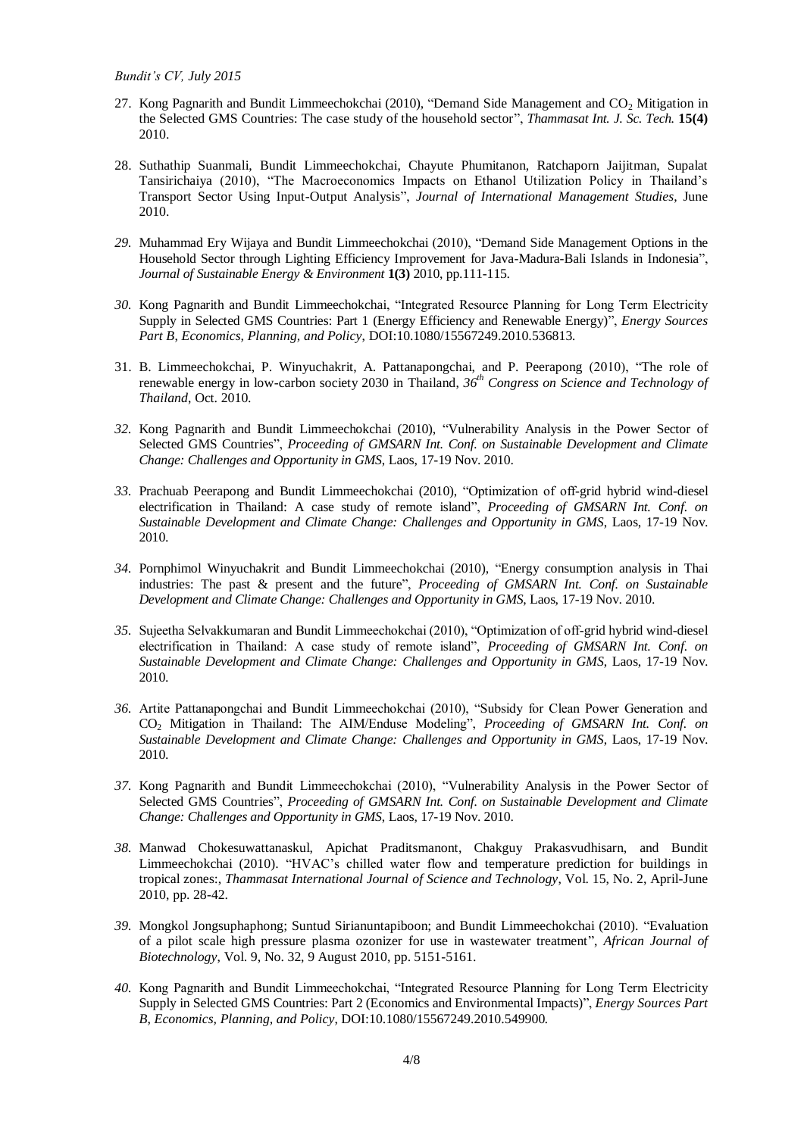- 27. Kong Pagnarith and Bundit Limmeechokchai (2010), "Demand Side Management and  $CO<sub>2</sub>$  Mitigation in the Selected GMS Countries: The case study of the household sector", *Thammasat Int. J. Sc. Tech.* **15(4)** 2010.
- 28. Suthathip Suanmali, Bundit Limmeechokchai, Chayute Phumitanon, Ratchaporn Jaijitman, Supalat Tansirichaiya (2010), "The Macroeconomics Impacts on Ethanol Utilization Policy in Thailand's Transport Sector Using Input-Output Analysis", *Journal of International Management Studies*, June 2010.
- *29.* Muhammad Ery Wijaya and Bundit Limmeechokchai (2010), "Demand Side Management Options in the Household Sector through Lighting Efficiency Improvement for Java-Madura-Bali Islands in Indonesia", *Journal of Sustainable Energy & Environment* **1(3)** 2010, pp.111-115.
- *30.* Kong Pagnarith and Bundit Limmeechokchai, "Integrated Resource Planning for Long Term Electricity Supply in Selected GMS Countries: Part 1 (Energy Efficiency and Renewable Energy)", *Energy Sources Part B*, *Economics, Planning, and Policy*, DOI:10.1080/15567249.2010.536813*.*
- 31. B. Limmeechokchai, P. Winyuchakrit, A. Pattanapongchai, and P. Peerapong (2010), "The role of renewable energy in low-carbon society 2030 in Thailand, *36th Congress on Science and Technology of Thailand*, Oct. 2010.
- *32.* Kong Pagnarith and Bundit Limmeechokchai (2010), "Vulnerability Analysis in the Power Sector of Selected GMS Countries", *Proceeding of GMSARN Int. Conf. on Sustainable Development and Climate Change: Challenges and Opportunity in GMS*, Laos, 17-19 Nov. 2010.
- *33.* Prachuab Peerapong and Bundit Limmeechokchai (2010), "Optimization of off-grid hybrid wind-diesel electrification in Thailand: A case study of remote island", *Proceeding of GMSARN Int. Conf. on Sustainable Development and Climate Change: Challenges and Opportunity in GMS*, Laos, 17-19 Nov. 2010.
- *34.* Pornphimol Winyuchakrit and Bundit Limmeechokchai (2010), "Energy consumption analysis in Thai industries: The past & present and the future", *Proceeding of GMSARN Int. Conf. on Sustainable Development and Climate Change: Challenges and Opportunity in GMS*, Laos, 17-19 Nov. 2010.
- *35.* Sujeetha Selvakkumaran and Bundit Limmeechokchai (2010), "Optimization of off-grid hybrid wind-diesel electrification in Thailand: A case study of remote island", *Proceeding of GMSARN Int. Conf. on Sustainable Development and Climate Change: Challenges and Opportunity in GMS*, Laos, 17-19 Nov. 2010.
- *36.* Artite Pattanapongchai and Bundit Limmeechokchai (2010), "Subsidy for Clean Power Generation and CO<sup>2</sup> Mitigation in Thailand: The AIM/Enduse Modeling", *Proceeding of GMSARN Int. Conf. on Sustainable Development and Climate Change: Challenges and Opportunity in GMS*, Laos, 17-19 Nov. 2010.
- *37.* Kong Pagnarith and Bundit Limmeechokchai (2010), "Vulnerability Analysis in the Power Sector of Selected GMS Countries", *Proceeding of GMSARN Int. Conf. on Sustainable Development and Climate Change: Challenges and Opportunity in GMS*, Laos, 17-19 Nov. 2010.
- *38.* Manwad Chokesuwattanaskul, Apichat Praditsmanont, Chakguy Prakasvudhisarn, and Bundit Limmeechokchai (2010). "HVAC's chilled water flow and temperature prediction for buildings in tropical zones:, *Thammasat International Journal of Science and Technology*, Vol. 15, No. 2, April-June 2010, pp. 28-42.
- *39.* Mongkol Jongsuphaphong; Suntud Sirianuntapiboon; and Bundit Limmeechokchai (2010). "Evaluation of a pilot scale high pressure plasma ozonizer for use in wastewater treatment", *African Journal of Biotechnology*, Vol. 9, No. 32, 9 August 2010, pp. 5151-5161.
- *40.* Kong Pagnarith and Bundit Limmeechokchai, "Integrated Resource Planning for Long Term Electricity Supply in Selected GMS Countries: Part 2 (Economics and Environmental Impacts)", *Energy Sources Part B*, *Economics, Planning, and Policy*, DOI:10.1080/15567249.2010.549900*.*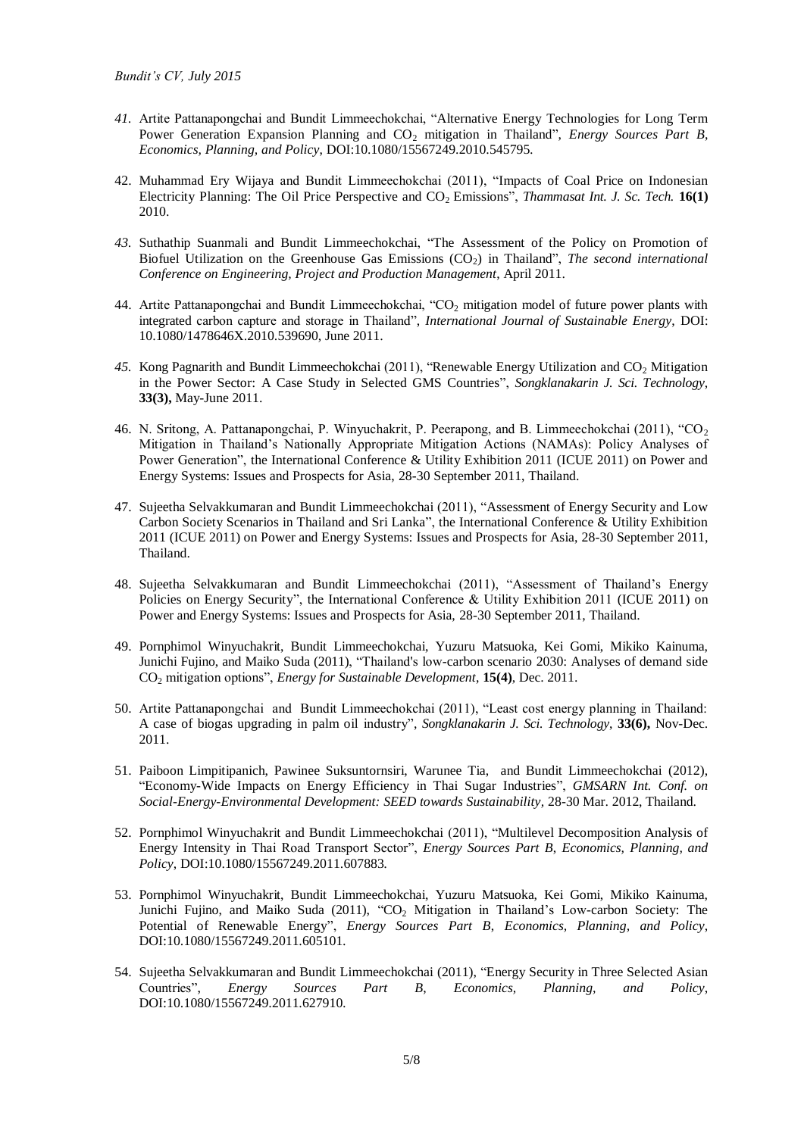- *41.* Artite Pattanapongchai and Bundit Limmeechokchai, "Alternative Energy Technologies for Long Term Power Generation Expansion Planning and CO<sub>2</sub> mitigation in Thailand", *Energy Sources Part B*, *Economics, Planning, and Policy*, DOI:10.1080/15567249.2010.545795*.*
- 42. Muhammad Ery Wijaya and Bundit Limmeechokchai (2011), "Impacts of Coal Price on Indonesian Electricity Planning: The Oil Price Perspective and CO<sub>2</sub> Emissions", *Thammasat Int. J. Sc. Tech.* **16(1)** 2010.
- *43.* Suthathip Suanmali and Bundit Limmeechokchai, "The Assessment of the Policy on Promotion of Biofuel Utilization on the Greenhouse Gas Emissions (CO<sub>2</sub>) in Thailand", *The second international Conference on Engineering, Project and Production Management*, April 2011.
- 44. Artite Pattanapongchai and Bundit Limmeechokchai, "CO<sub>2</sub> mitigation model of future power plants with integrated carbon capture and storage in Thailand", *International Journal of Sustainable Energy*, DOI: 10.1080/1478646X.2010.539690, June 2011.
- 45. Kong Pagnarith and Bundit Limmeechokchai (2011), "Renewable Energy Utilization and CO<sub>2</sub> Mitigation in the Power Sector: A Case Study in Selected GMS Countries", *Songklanakarin J. Sci. Technology*, **33(3),** May-June 2011.
- 46. N. Sritong, A. Pattanapongchai, P. Winyuchakrit, P. Peerapong, and B. Limmeechokchai (2011), "CO<sub>2</sub> Mitigation in Thailand's Nationally Appropriate Mitigation Actions (NAMAs): Policy Analyses of Power Generation", the International Conference & Utility Exhibition 2011 (ICUE 2011) on Power and Energy Systems: Issues and Prospects for Asia, 28-30 September 2011, Thailand.
- 47. Sujeetha Selvakkumaran and Bundit Limmeechokchai (2011), "Assessment of Energy Security and Low Carbon Society Scenarios in Thailand and Sri Lanka", the International Conference & Utility Exhibition 2011 (ICUE 2011) on Power and Energy Systems: Issues and Prospects for Asia, 28-30 September 2011, Thailand.
- 48. Sujeetha Selvakkumaran and Bundit Limmeechokchai (2011), "Assessment of Thailand's Energy Policies on Energy Security", the International Conference & Utility Exhibition 2011 (ICUE 2011) on Power and Energy Systems: Issues and Prospects for Asia, 28-30 September 2011, Thailand.
- 49. Pornphimol Winyuchakrit, Bundit Limmeechokchai, Yuzuru Matsuoka, Kei Gomi, Mikiko Kainuma, Junichi Fujino, and Maiko Suda (2011), "Thailand's low-carbon scenario 2030: Analyses of demand side CO<sup>2</sup> mitigation options", *Energy for Sustainable Development*, **15(4)**, Dec. 2011.
- 50. Artite Pattanapongchai and Bundit Limmeechokchai (2011), "Least cost energy planning in Thailand: A case of biogas upgrading in palm oil industry", *Songklanakarin J. Sci. Technology*, **33(6),** Nov-Dec. 2011.
- 51. Paiboon Limpitipanich, Pawinee Suksuntornsiri, Warunee Tia, and Bundit Limmeechokchai (2012), "Economy-Wide Impacts on Energy Efficiency in Thai Sugar Industries", *GMSARN Int. Conf. on Social-Energy-Environmental Development: SEED towards Sustainability,* 28-30 Mar. 2012, Thailand.
- 52. Pornphimol Winyuchakrit and Bundit Limmeechokchai (2011), "Multilevel Decomposition Analysis of Energy Intensity in Thai Road Transport Sector", *Energy Sources Part B*, *Economics, Planning, and Policy*, DOI:10.1080/15567249.2011.607883*.*
- 53. Pornphimol Winyuchakrit, Bundit Limmeechokchai, Yuzuru Matsuoka, Kei Gomi, Mikiko Kainuma, Junichi Fujino, and Maiko Suda (2011), "CO<sub>2</sub> Mitigation in Thailand's Low-carbon Society: The Potential of Renewable Energy", *Energy Sources Part B*, *Economics, Planning, and Policy*, DOI:10.1080/15567249.2011.605101*.*
- 54. Sujeetha Selvakkumaran and Bundit Limmeechokchai (2011), "Energy Security in Three Selected Asian Countries", *Energy Sources Part B*, *Economics, Planning, and Policy*, DOI:10.1080/15567249.2011.627910*.*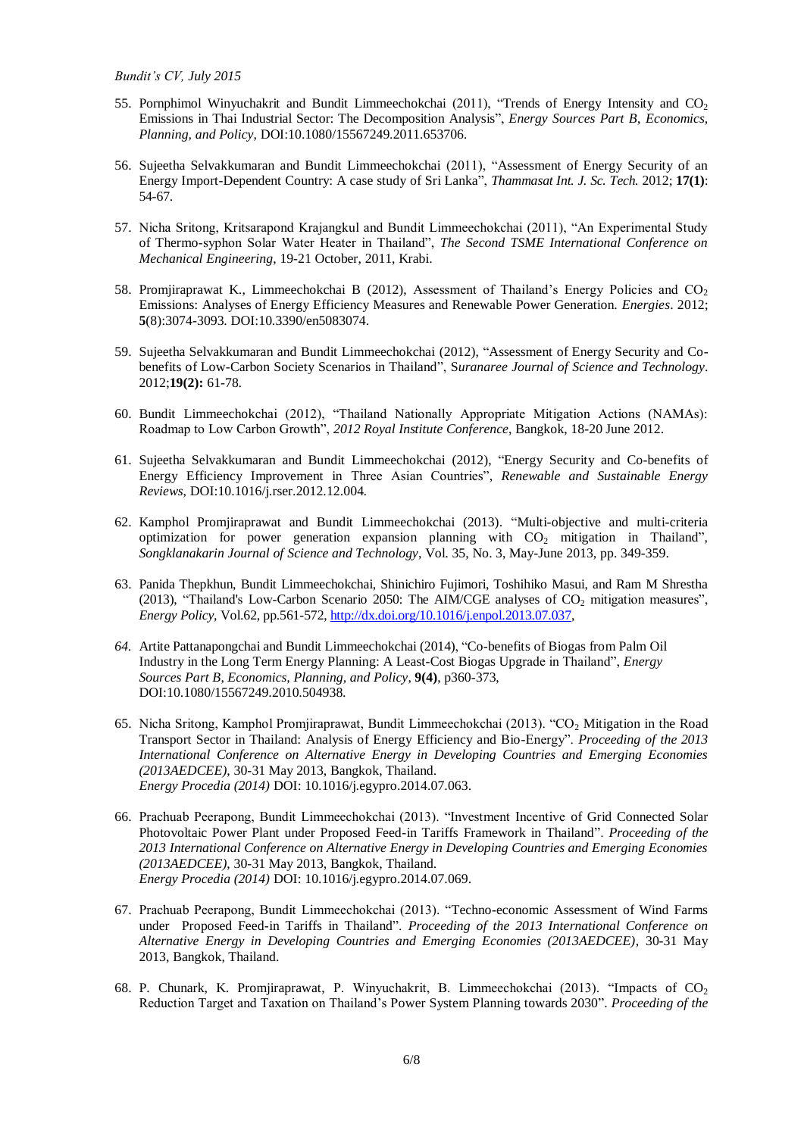- 55. Pornphimol Winyuchakrit and Bundit Limmeechokchai (2011), "Trends of Energy Intensity and CO<sub>2</sub> Emissions in Thai Industrial Sector: The Decomposition Analysis", *Energy Sources Part B*, *Economics, Planning, and Policy*, DOI:10.1080/15567249.2011.653706*.*
- 56. Sujeetha Selvakkumaran and Bundit Limmeechokchai (2011), "Assessment of Energy Security of an Energy Import-Dependent Country: A case study of Sri Lanka", *Thammasat Int. J. Sc. Tech.* 2012; **17(1)**: 54-67.
- 57. Nicha Sritong, Kritsarapond Krajangkul and Bundit Limmeechokchai (2011), "An Experimental Study of Thermo-syphon Solar Water Heater in Thailand", *The Second TSME International Conference on Mechanical Engineering*, 19-21 October, 2011, Krabi.
- 58. Promjiraprawat K., Limmeechokchai B (2012), Assessment of Thailand's Energy Policies and  $CO<sub>2</sub>$ Emissions: Analyses of Energy Efficiency Measures and Renewable Power Generation. *Energies*. 2012; **5**(8):3074-3093. DOI:10.3390/en5083074.
- 59. Sujeetha Selvakkumaran and Bundit Limmeechokchai (2012), "Assessment of Energy Security and Cobenefits of Low-Carbon Society Scenarios in Thailand", S*uranaree Journal of Science and Technology*. 2012;**19(2):** 61-78.
- 60. Bundit Limmeechokchai (2012), "Thailand Nationally Appropriate Mitigation Actions (NAMAs): Roadmap to Low Carbon Growth", *2012 Royal Institute Conference*, Bangkok, 18-20 June 2012.
- 61. Sujeetha Selvakkumaran and Bundit Limmeechokchai (2012), "Energy Security and Co-benefits of Energy Efficiency Improvement in Three Asian Countries", *Renewable and Sustainable Energy Reviews*, DOI:10.1016/j.rser.2012.12.004*.*
- 62. Kamphol Promjiraprawat and Bundit Limmeechokchai (2013). "Multi-objective and multi-criteria optimization for power generation expansion planning with  $CO<sub>2</sub>$  mitigation in Thailand", *Songklanakarin Journal of Science and Technology*, Vol. 35, No. 3, May-June 2013, pp. 349-359.
- 63. Panida Thepkhun, Bundit Limmeechokchai, Shinichiro Fujimori, Toshihiko Masui, and Ram M Shrestha (2013), "Thailand's Low-Carbon Scenario 2050: The AIM/CGE analyses of  $CO<sub>2</sub>$  mitigation measures", *Energy Policy,* Vol.62, pp.561-572, [http://dx.doi.org/10.1016/j.enpol.2013.07.037,](http://dx.doi.org/10.1016/j.enpol.2013.07.037)
- *64.* Artite Pattanapongchai and Bundit Limmeechokchai (2014), "Co-benefits of Biogas from Palm Oil Industry in the Long Term Energy Planning: A Least-Cost Biogas Upgrade in Thailand", *Energy Sources Part B*, *Economics, Planning, and Policy*, **9(4)**, p360-373, DOI:10.1080/15567249.2010.504938*.*
- 65. Nicha Sritong, Kamphol Promjiraprawat, Bundit Limmeechokchai (2013). "CO<sub>2</sub> Mitigation in the Road Transport Sector in Thailand: Analysis of Energy Efficiency and Bio-Energy". *Proceeding of the 2013 International Conference on Alternative Energy in Developing Countries and Emerging Economies (2013AEDCEE)*, 30-31 May 2013, Bangkok, Thailand. *Energy Procedia (2014)* DOI: 10.1016/j.egypro.2014.07.063.
- 66. Prachuab Peerapong, Bundit Limmeechokchai (2013). "Investment Incentive of Grid Connected Solar Photovoltaic Power Plant under Proposed Feed-in Tariffs Framework in Thailand". *Proceeding of the 2013 International Conference on Alternative Energy in Developing Countries and Emerging Economies (2013AEDCEE)*, 30-31 May 2013, Bangkok, Thailand. *Energy Procedia (2014)* DOI: 10.1016/j.egypro.2014.07.069.
- 67. Prachuab Peerapong, Bundit Limmeechokchai (2013). "Techno-economic Assessment of Wind Farms under Proposed Feed-in Tariffs in Thailand". *Proceeding of the 2013 International Conference on Alternative Energy in Developing Countries and Emerging Economies (2013AEDCEE)*, 30-31 May 2013, Bangkok, Thailand.
- 68. P. Chunark, K. Promjiraprawat, P. Winyuchakrit, B. Limmeechokchai (2013). "Impacts of  $CO<sub>2</sub>$ Reduction Target and Taxation on Thailand's Power System Planning towards 2030". *Proceeding of the*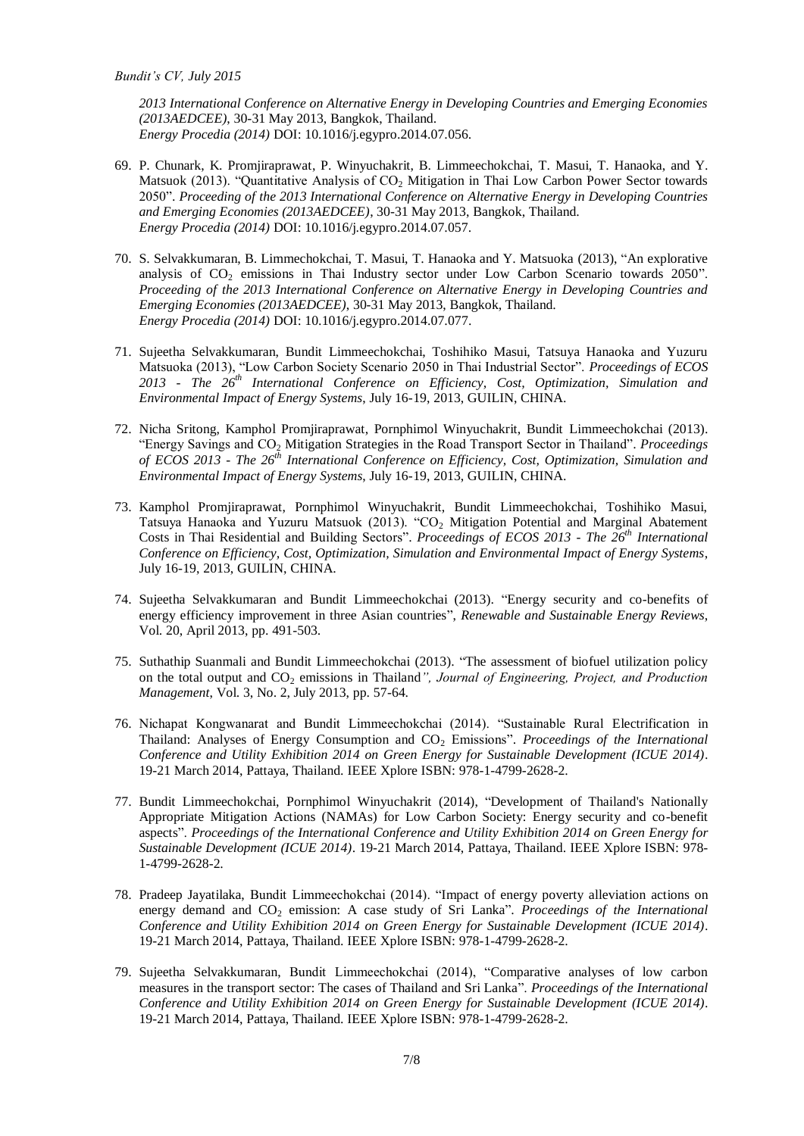*2013 International Conference on Alternative Energy in Developing Countries and Emerging Economies (2013AEDCEE)*, 30-31 May 2013, Bangkok, Thailand. *Energy Procedia (2014)* DOI: 10.1016/j.egypro.2014.07.056.

- 69. P. Chunark, K. Promjiraprawat, P. Winyuchakrit, B. Limmeechokchai, T. Masui, T. Hanaoka, and Y. Matsuok (2013). "Quantitative Analysis of CO<sub>2</sub> Mitigation in Thai Low Carbon Power Sector towards 2050". *Proceeding of the 2013 International Conference on Alternative Energy in Developing Countries and Emerging Economies (2013AEDCEE)*, 30-31 May 2013, Bangkok, Thailand. *Energy Procedia (2014)* DOI: 10.1016/j.egypro.2014.07.057.
- 70. S. Selvakkumaran, B. Limmechokchai, T. Masui, T. Hanaoka and Y. Matsuoka (2013), "An explorative analysis of CO<sub>2</sub> emissions in Thai Industry sector under Low Carbon Scenario towards 2050". *Proceeding of the 2013 International Conference on Alternative Energy in Developing Countries and Emerging Economies (2013AEDCEE)*, 30-31 May 2013, Bangkok, Thailand. *Energy Procedia (2014)* DOI: 10.1016/j.egypro.2014.07.077.
- 71. Sujeetha Selvakkumaran, Bundit Limmeechokchai, Toshihiko Masui, Tatsuya Hanaoka and Yuzuru Matsuoka (2013), "Low Carbon Society Scenario 2050 in Thai Industrial Sector". *Proceedings of ECOS 2013 - The 26th International Conference on Efficiency, Cost, Optimization, Simulation and Environmental Impact of Energy Systems*, July 16-19, 2013, GUILIN, CHINA.
- 72. Nicha Sritong, Kamphol Promjiraprawat, Pornphimol Winyuchakrit, Bundit Limmeechokchai (2013). "Energy Savings and CO<sup>2</sup> Mitigation Strategies in the Road Transport Sector in Thailand". *Proceedings of ECOS 2013 - The 26th International Conference on Efficiency, Cost, Optimization, Simulation and Environmental Impact of Energy Systems*, July 16-19, 2013, GUILIN, CHINA.
- 73. Kamphol Promjiraprawat, Pornphimol Winyuchakrit, Bundit Limmeechokchai, Toshihiko Masui, Tatsuya Hanaoka and Yuzuru Matsuok (2013). "CO<sub>2</sub> Mitigation Potential and Marginal Abatement Costs in Thai Residential and Building Sectors". *Proceedings of ECOS 2013 - The 26th International Conference on Efficiency, Cost, Optimization, Simulation and Environmental Impact of Energy Systems*, July 16-19, 2013, GUILIN, CHINA.
- 74. Sujeetha Selvakkumaran and Bundit Limmeechokchai (2013). "Energy security and co-benefits of energy efficiency improvement in three Asian countries", *Renewable and Sustainable Energy Reviews*, Vol. 20, April 2013, pp. 491-503.
- 75. Suthathip Suanmali and Bundit Limmeechokchai (2013). "The assessment of biofuel utilization policy on the total output and CO<sup>2</sup> emissions in Thailand*", Journal of Engineering, Project, and Production Management*, Vol. 3, No. 2, July 2013, pp. 57-64.
- 76. Nichapat Kongwanarat and Bundit Limmeechokchai (2014). "Sustainable Rural Electrification in Thailand: Analyses of Energy Consumption and CO<sub>2</sub> Emissions". *Proceedings of the International Conference and Utility Exhibition 2014 on Green Energy for Sustainable Development (ICUE 2014)*. 19-21 March 2014, Pattaya, Thailand. IEEE Xplore ISBN: 978-1-4799-2628-2.
- 77. Bundit Limmeechokchai, Pornphimol Winyuchakrit (2014), "Development of Thailand's Nationally Appropriate Mitigation Actions (NAMAs) for Low Carbon Society: Energy security and co-benefit aspects". *Proceedings of the International Conference and Utility Exhibition 2014 on Green Energy for Sustainable Development (ICUE 2014)*. 19-21 March 2014, Pattaya, Thailand. IEEE Xplore ISBN: 978- 1-4799-2628-2.
- 78. Pradeep Jayatilaka, Bundit Limmeechokchai (2014). "Impact of energy poverty alleviation actions on energy demand and CO<sub>2</sub> emission: A case study of Sri Lanka". *Proceedings of the International Conference and Utility Exhibition 2014 on Green Energy for Sustainable Development (ICUE 2014)*. 19-21 March 2014, Pattaya, Thailand. IEEE Xplore ISBN: 978-1-4799-2628-2.
- 79. Sujeetha Selvakkumaran, Bundit Limmeechokchai (2014), "Comparative analyses of low carbon measures in the transport sector: The cases of Thailand and Sri Lanka". *Proceedings of the International Conference and Utility Exhibition 2014 on Green Energy for Sustainable Development (ICUE 2014)*. 19-21 March 2014, Pattaya, Thailand. IEEE Xplore ISBN: 978-1-4799-2628-2.